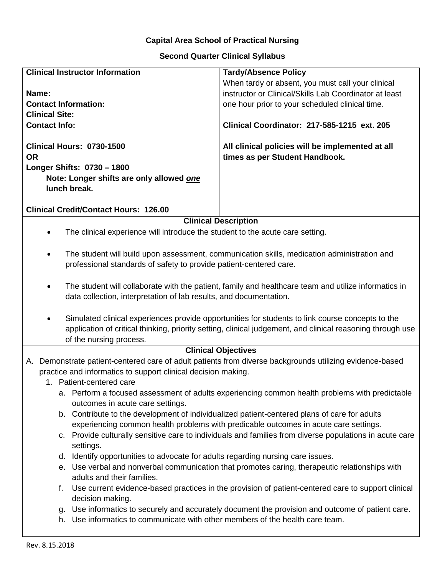## **Capital Area School of Practical Nursing**

## **Second Quarter Clinical Syllabus**

| <b>Clinical Instructor Information</b>                                                                               | <b>Tardy/Absence Policy</b>                                                                                |
|----------------------------------------------------------------------------------------------------------------------|------------------------------------------------------------------------------------------------------------|
|                                                                                                                      | When tardy or absent, you must call your clinical                                                          |
| Name:                                                                                                                | instructor or Clinical/Skills Lab Coordinator at least                                                     |
| <b>Contact Information:</b>                                                                                          | one hour prior to your scheduled clinical time.                                                            |
| <b>Clinical Site:</b>                                                                                                |                                                                                                            |
| <b>Contact Info:</b>                                                                                                 | Clinical Coordinator: 217-585-1215 ext. 205                                                                |
|                                                                                                                      |                                                                                                            |
| Clinical Hours: 0730-1500                                                                                            | All clinical policies will be implemented at all                                                           |
| <b>OR</b>                                                                                                            | times as per Student Handbook.                                                                             |
| Longer Shifts: 0730 - 1800                                                                                           |                                                                                                            |
| Note: Longer shifts are only allowed one<br>lunch break.                                                             |                                                                                                            |
|                                                                                                                      |                                                                                                            |
| <b>Clinical Credit/Contact Hours: 126.00</b>                                                                         |                                                                                                            |
| <b>Clinical Description</b>                                                                                          |                                                                                                            |
| The clinical experience will introduce the student to the acute care setting.<br>$\bullet$                           |                                                                                                            |
|                                                                                                                      |                                                                                                            |
| The student will build upon assessment, communication skills, medication administration and<br>٠                     |                                                                                                            |
| professional standards of safety to provide patient-centered care.                                                   |                                                                                                            |
|                                                                                                                      |                                                                                                            |
| The student will collaborate with the patient, family and healthcare team and utilize informatics in<br>$\bullet$    |                                                                                                            |
| data collection, interpretation of lab results, and documentation.                                                   |                                                                                                            |
|                                                                                                                      |                                                                                                            |
| Simulated clinical experiences provide opportunities for students to link course concepts to the                     |                                                                                                            |
|                                                                                                                      | application of critical thinking, priority setting, clinical judgement, and clinical reasoning through use |
| of the nursing process.                                                                                              |                                                                                                            |
| <b>Clinical Objectives</b>                                                                                           |                                                                                                            |
| A. Demonstrate patient-centered care of adult patients from diverse backgrounds utilizing evidence-based             |                                                                                                            |
| practice and informatics to support clinical decision making.                                                        |                                                                                                            |
| 1. Patient-centered care                                                                                             |                                                                                                            |
| a. Perform a focused assessment of adults experiencing common health problems with predictable                       |                                                                                                            |
| outcomes in acute care settings.                                                                                     |                                                                                                            |
| b. Contribute to the development of individualized patient-centered plans of care for adults                         |                                                                                                            |
| experiencing common health problems with predicable outcomes in acute care settings.                                 |                                                                                                            |
| c. Provide culturally sensitive care to individuals and families from diverse populations in acute care<br>settings. |                                                                                                            |
| d. Identify opportunities to advocate for adults regarding nursing care issues.                                      |                                                                                                            |
| e. Use verbal and nonverbal communication that promotes caring, therapeutic relationships with                       |                                                                                                            |
| adults and their families.                                                                                           |                                                                                                            |
| f.                                                                                                                   | Use current evidence-based practices in the provision of patient-centered care to support clinical         |
| decision making.                                                                                                     |                                                                                                            |

- g. Use informatics to securely and accurately document the provision and outcome of patient care.
- h. Use informatics to communicate with other members of the health care team.